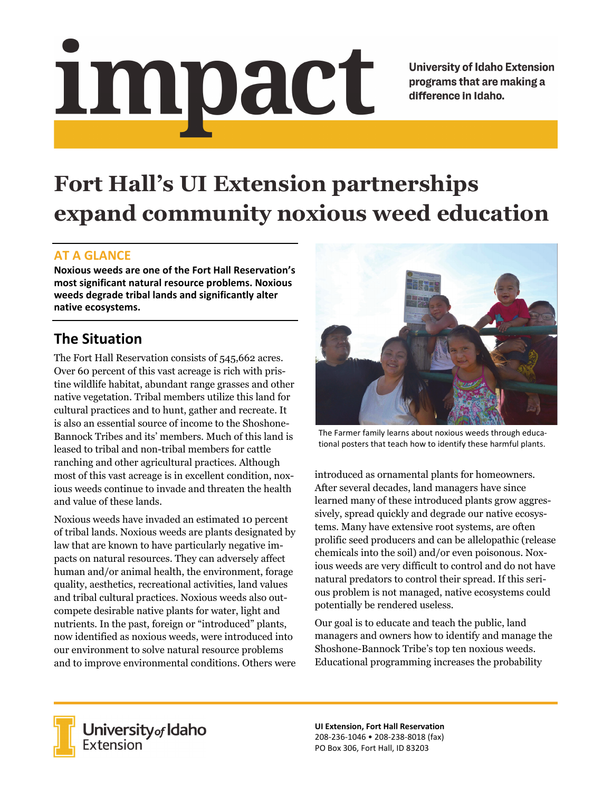# Impact

**University of Idaho Extension** programs that are making a difference in Idaho.

# **Fort Hall's UI Extension partnerships expand community noxious weed education**

### **AT A GLANCE**

**Noxious weeds are one of the Fort Hall Reservation's most significant natural resource problems. Noxious weeds degrade tribal lands and significantly alter native ecosystems.** 

### **The Situation**

The Fort Hall Reservation consists of 545,662 acres. Over 60 percent of this vast acreage is rich with pristine wildlife habitat, abundant range grasses and other native vegetation. Tribal members utilize this land for cultural practices and to hunt, gather and recreate. It is also an essential source of income to the Shoshone-Bannock Tribes and its' members. Much of this land is leased to tribal and non-tribal members for cattle ranching and other agricultural practices. Although most of this vast acreage is in excellent condition, noxious weeds continue to invade and threaten the health and value of these lands.

Noxious weeds have invaded an estimated 10 percent of tribal lands. Noxious weeds are plants designated by law that are known to have particularly negative impacts on natural resources. They can adversely affect human and/or animal health, the environment, forage quality, aesthetics, recreational activities, land values and tribal cultural practices. Noxious weeds also outcompete desirable native plants for water, light and nutrients. In the past, foreign or "introduced" plants, now identified as noxious weeds, were introduced into our environment to solve natural resource problems and to improve environmental conditions. Others were



The Farmer family learns about noxious weeds through educa‐ tional posters that teach how to identify these harmful plants.

introduced as ornamental plants for homeowners. After several decades, land managers have since learned many of these introduced plants grow aggressively, spread quickly and degrade our native ecosystems. Many have extensive root systems, are often prolific seed producers and can be allelopathic (release chemicals into the soil) and/or even poisonous. Noxious weeds are very difficult to control and do not have natural predators to control their spread. If this serious problem is not managed, native ecosystems could potentially be rendered useless.

Our goal is to educate and teach the public, land managers and owners how to identify and manage the Shoshone-Bannock Tribe's top ten noxious weeds. Educational programming increases the probability



**University** of Idaho<br>Extension

**UI Extension, Fort Hall Reservation**  208‐236‐1046 • 208‐238‐8018 (fax) PO Box 306, Fort Hall, ID 83203